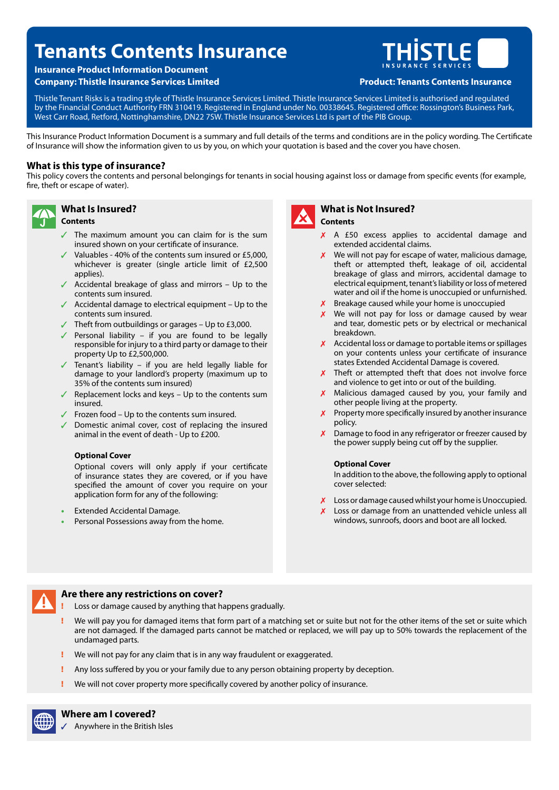# **Tenants Contents Insurance**

# **Insurance Product Information Document**

**Company: Thistle Insurance Services Limited Product: Tenants Contents Insurance**



Thistle Tenant Risks is a trading style of Thistle Insurance Services Limited. Thistle Insurance Services Limited is authorised and regulated by the Financial Conduct Authority FRN 310419. Registered in England under No. 00338645. Registered office: Rossington's Business Park, West Carr Road, Retford, Nottinghamshire, DN22 7SW. Thistle Insurance Services Ltd is part of the PIB Group.

This Insurance Product Information Document is a summary and full details of the terms and conditions are in the policy wording. The Certificate of Insurance will show the information given to us by you, on which your quotation is based and the cover you have chosen.

# **What is this type of insurance?**

**What Is Insured?**

This policy covers the contents and personal belongings for tenants in social housing against loss or damage from specific events (for example, fire, theft or escape of water).



# **Contents**

- The maximum amount you can claim for is the sum insured shown on your certificate of insurance.
- $\checkmark$  Valuables 40% of the contents sum insured or £5,000, whichever is greater (single article limit of £2,500 applies).
- $\sqrt{\phantom{a}}$  Accidental breakage of glass and mirrors Up to the contents sum insured.
- $\sqrt{ }$  Accidental damage to electrical equipment Up to the contents sum insured.
- $\checkmark$  Theft from outbuildings or garages Up to £3,000.
- $\sqrt{ }$  Personal liability if you are found to be legally responsible for injury to a third party or damage to their property Up to £2,500,000.
- Tenant's liability if you are held legally liable for damage to your landlord's property (maximum up to 35% of the contents sum insured)
- Replacement locks and keys  $-$  Up to the contents sum insured.
- $\sqrt{ }$  Frozen food Up to the contents sum insured.
- $\sqrt{\phantom{a}}$  Domestic animal cover, cost of replacing the insured animal in the event of death - Up to £200.

#### **Optional Cover**

Optional covers will only apply if your certificate of insurance states they are covered, or if you have specified the amount of cover you require on your application form for any of the following:

- Extended Accidental Damage.
- Personal Possessions away from the home.



#### **What is Not Insured? Contents**

- X A £50 excess applies to accidental damage and extended accidental claims.
- $\chi$  We will not pay for escape of water, malicious damage, theft or attempted theft, leakage of oil, accidental breakage of glass and mirrors, accidental damage to electrical equipment, tenant's liability or loss of metered water and oil if the home is unoccupied or unfurnished.
- $X$  Breakage caused while your home is unoccupied
- $\chi$  We will not pay for loss or damage caused by wear and tear, domestic pets or by electrical or mechanical breakdown.
- $X$  Accidental loss or damage to portable items or spillages on your contents unless your certificate of insurance states Extended Accidental Damage is covered.
- $x$  Theft or attempted theft that does not involve force and violence to get into or out of the building.
- $x$  Malicious damaged caused by you, your family and other people living at the property.
- $\chi$  Property more specifically insured by another insurance policy.
- $\mathsf{X}$ Damage to food in any refrigerator or freezer caused by the power supply being cut off by the supplier.

#### **Optional Cover**

In addition to the above, the following apply to optional cover selected:

- $X$  Loss or damage caused whilst your home is Unoccupied.
- Loss or damage from an unattended vehicle unless all windows, sunroofs, doors and boot are all locked.



#### **Are there any restrictions on cover?**

- Loss or damage caused by anything that happens gradually.
- We will pay you for damaged items that form part of a matching set or suite but not for the other items of the set or suite which are not damaged. If the damaged parts cannot be matched or replaced, we will pay up to 50% towards the replacement of the undamaged parts.
- We will not pay for any claim that is in any way fraudulent or exaggerated.
- Any loss suffered by you or your family due to any person obtaining property by deception.
- We will not cover property more specifically covered by another policy of insurance.